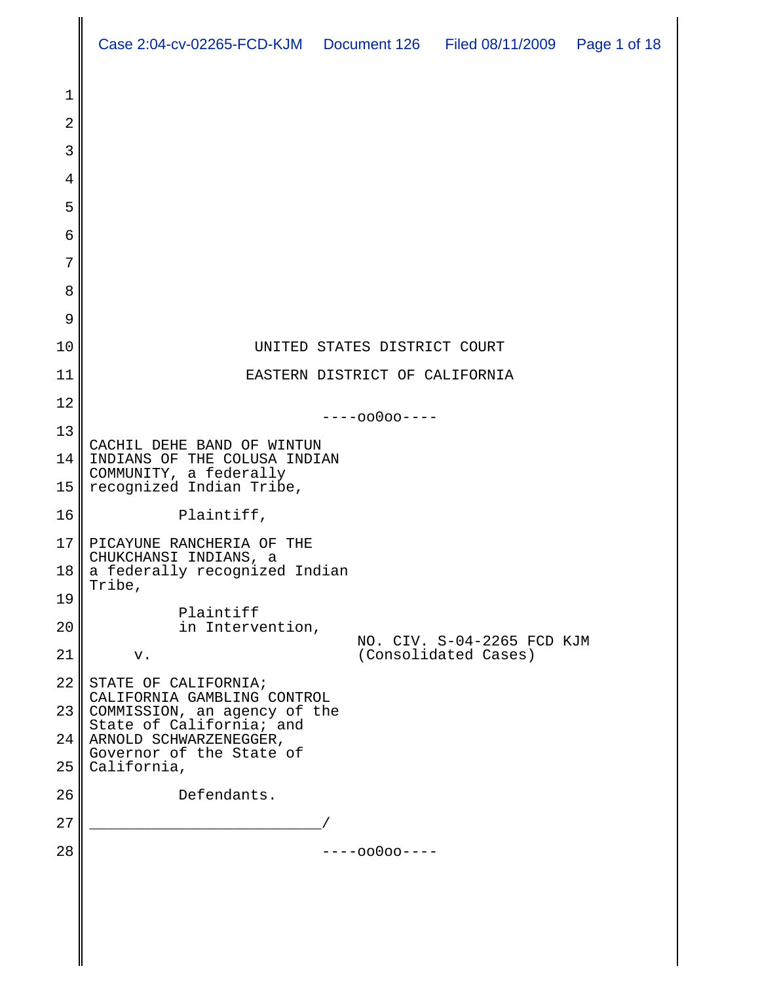|                       | Case 2:04-cv-02265-FCD-KJM  Document 126  Filed 08/11/2009  Page 1 of 18             |  |                                |                                                    |  |
|-----------------------|--------------------------------------------------------------------------------------|--|--------------------------------|----------------------------------------------------|--|
| 1                     |                                                                                      |  |                                |                                                    |  |
| $\overline{2}$        |                                                                                      |  |                                |                                                    |  |
| 3                     |                                                                                      |  |                                |                                                    |  |
| 4                     |                                                                                      |  |                                |                                                    |  |
| 5                     |                                                                                      |  |                                |                                                    |  |
| 6                     |                                                                                      |  |                                |                                                    |  |
| 7                     |                                                                                      |  |                                |                                                    |  |
| 8                     |                                                                                      |  |                                |                                                    |  |
| 9                     |                                                                                      |  |                                |                                                    |  |
| 10                    |                                                                                      |  | UNITED STATES DISTRICT COURT   |                                                    |  |
| 11                    |                                                                                      |  | EASTERN DISTRICT OF CALIFORNIA |                                                    |  |
| 12                    |                                                                                      |  | $---00000---$                  |                                                    |  |
| 13                    |                                                                                      |  |                                |                                                    |  |
| 14                    | CACHIL DEHE BAND OF WINTUN<br>INDIANS OF THE COLUSA INDIAN<br>COMMUNITY, a federally |  |                                |                                                    |  |
| 15                    | recognized Indian Tribe,                                                             |  |                                |                                                    |  |
| 16                    | Plaintiff,                                                                           |  |                                |                                                    |  |
| 17<br>18 <sub>l</sub> | PICAYUNE RANCHERIA OF THE<br>CHUKCHANSI INDIANS, a<br>a federally recognized Indian  |  |                                |                                                    |  |
| 19                    | Tribe,                                                                               |  |                                |                                                    |  |
| 20                    | Plaintiff<br>in Intervention,                                                        |  |                                |                                                    |  |
| 21                    | v.                                                                                   |  |                                | NO. CIV. S-04-2265 FCD KJM<br>(Consolidated Cases) |  |
| 22                    | STATE OF CALIFORNIA;                                                                 |  |                                |                                                    |  |
| 23                    | CALIFORNIA GAMBLING CONTROL<br>COMMISSION, an agency of the                          |  |                                |                                                    |  |
| 24                    | State of California; and<br>ARNOLD SCHWARZENEGGER,                                   |  |                                |                                                    |  |
| 25                    | Governor of the State of<br>California,                                              |  |                                |                                                    |  |
| 26                    | Defendants.                                                                          |  |                                |                                                    |  |
| 27                    |                                                                                      |  |                                |                                                    |  |
| 28                    |                                                                                      |  | $---00000---$                  |                                                    |  |
|                       |                                                                                      |  |                                |                                                    |  |
|                       |                                                                                      |  |                                |                                                    |  |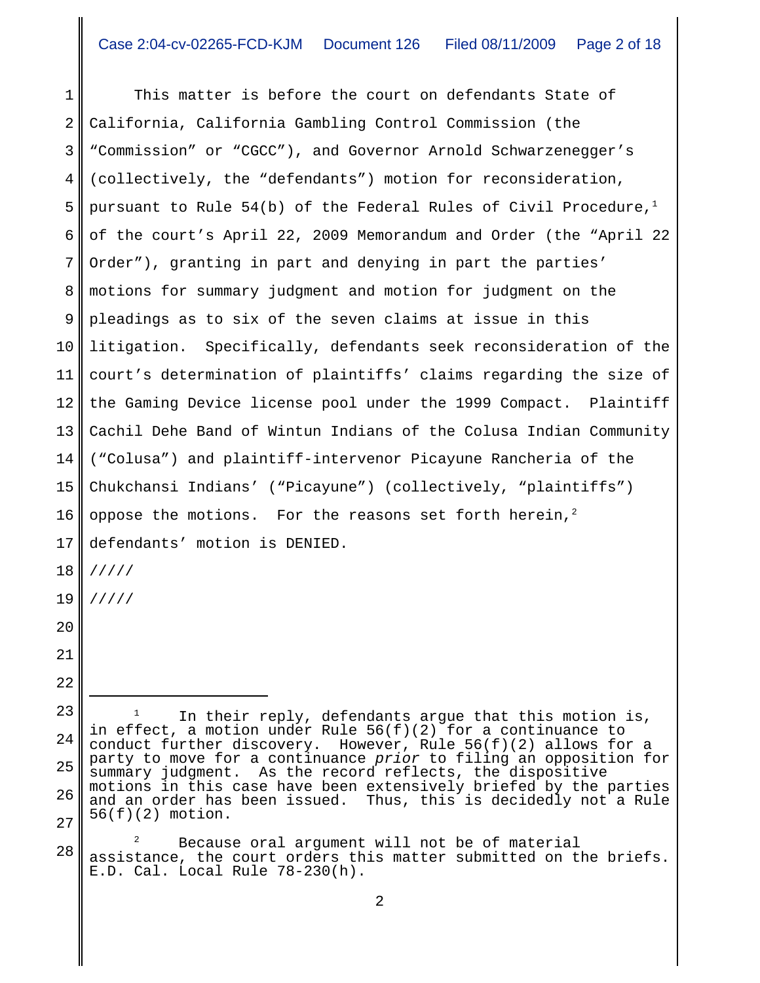1 2 3 4 5 6 7 8 9 10 11 12 13 14 15 16 17 18 19 20 21 22 23 24 25 26 In their reply, defendants argue that this motion is, in effect, a motion under Rule 56(f)(2) for a continuance to conduct further discovery. However, Rule  $56(f)(2)$  allows for a party to move for a continuance *prior* to filing an opposition for summary judgment. As the record reflects, the dispositive motions in this case have been extensively briefed by the parties and an order has been issued. Thus, this is decidedly not a Rule This matter is before the court on defendants State of California, California Gambling Control Commission (the "Commission" or "CGCC"), and Governor Arnold Schwarzenegger's (collectively, the "defendants") motion for reconsideration, pursuant to Rule 54(b) of the Federal Rules of Civil Procedure,<sup>1</sup> of the court's April 22, 2009 Memorandum and Order (the "April 22 Order"), granting in part and denying in part the parties' motions for summary judgment and motion for judgment on the pleadings as to six of the seven claims at issue in this litigation. Specifically, defendants seek reconsideration of the court's determination of plaintiffs' claims regarding the size of the Gaming Device license pool under the 1999 Compact. Plaintiff Cachil Dehe Band of Wintun Indians of the Colusa Indian Community ("Colusa") and plaintiff-intervenor Picayune Rancheria of the Chukchansi Indians' ("Picayune") (collectively, "plaintiffs") oppose the motions. For the reasons set forth herein,<sup>2</sup> defendants' motion is DENIED. ///// /////

28 Because oral argument will not be of material assistance, the court orders this matter submitted on the briefs. E.D. Cal. Local Rule 78-230(h).

27

56(f)(2) motion.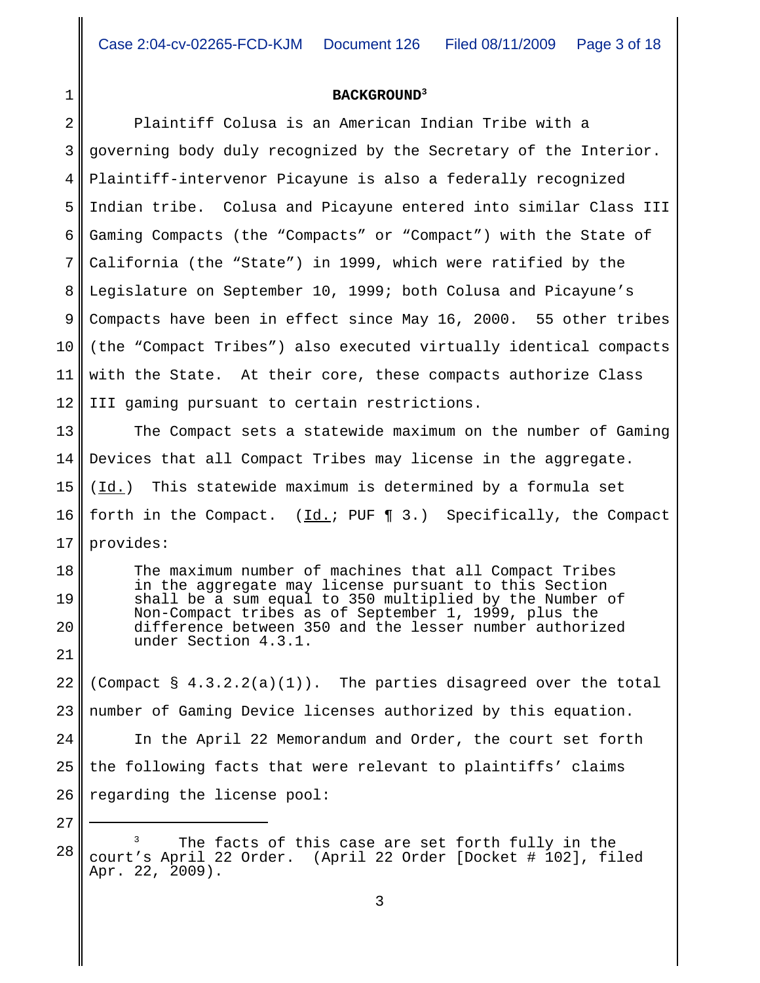## **BACKGROUND3**

1

27

2 3 4 5 6 7 8 9 10 11 12 13 14 15 16 17 18 19 20 21 22 23 24 25 26 Plaintiff Colusa is an American Indian Tribe with a governing body duly recognized by the Secretary of the Interior. Plaintiff-intervenor Picayune is also a federally recognized Indian tribe. Colusa and Picayune entered into similar Class III Gaming Compacts (the "Compacts" or "Compact") with the State of California (the "State") in 1999, which were ratified by the Legislature on September 10, 1999; both Colusa and Picayune's Compacts have been in effect since May 16, 2000. 55 other tribes (the "Compact Tribes") also executed virtually identical compacts with the State. At their core, these compacts authorize Class III gaming pursuant to certain restrictions. The Compact sets a statewide maximum on the number of Gaming Devices that all Compact Tribes may license in the aggregate. (Id.) This statewide maximum is determined by a formula set forth in the Compact. (Id.; PUF ¶ 3.) Specifically, the Compact provides: The maximum number of machines that all Compact Tribes in the aggregate may license pursuant to this Section shall be a sum equal to 350 multiplied by the Number of Non-Compact tribes as of September 1, 1999, plus the difference between 350 and the lesser number authorized under Section 4.3.1. (Compact  $\S$  4.3.2.2(a)(1)). The parties disagreed over the total number of Gaming Device licenses authorized by this equation. In the April 22 Memorandum and Order, the court set forth the following facts that were relevant to plaintiffs' claims regarding the license pool:

28 The facts of this case are set forth fully in the court's April 22 Order. (April 22 Order [Docket # 102], filed Apr. 22, 2009).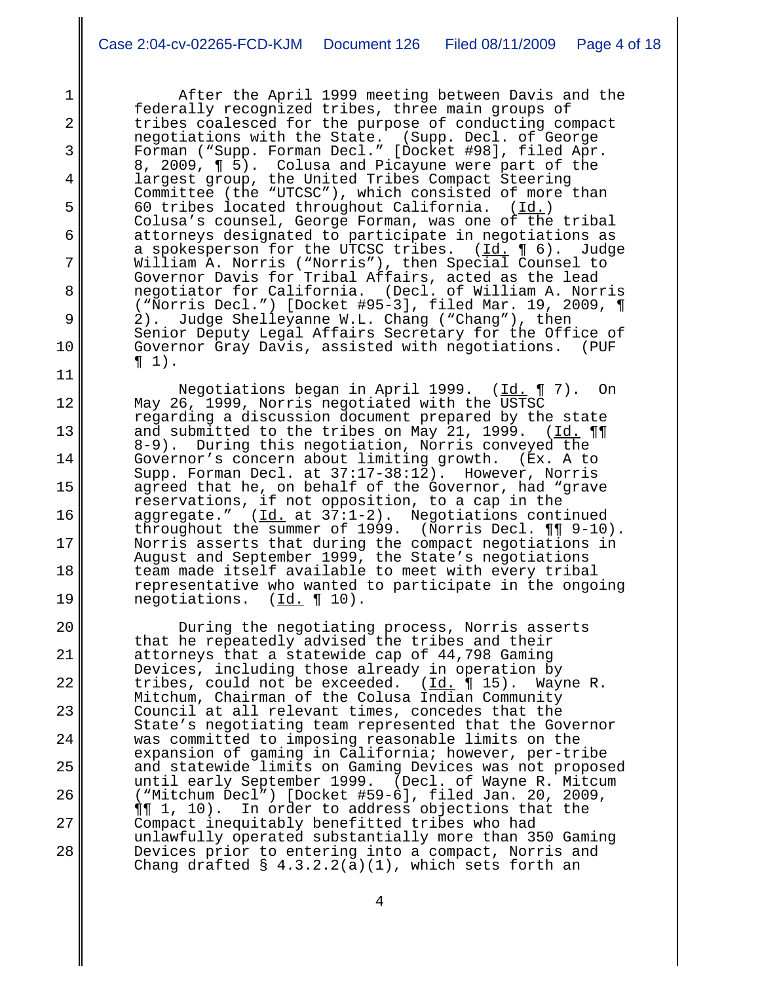1

2

3

4

5

6

7

8

9

10

11

12

13

14

15

16

17

18

19

20

21

22

23

24

25

26

27

28

After the April 1999 meeting between Davis and the federally recognized tribes, three main groups of tribes coalesced for the purpose of conducting compact negotiations with the State. (Supp. Decl. of George Forman ("Supp. Forman Decl." [Docket #98], filed Apr. 8, 2009, ¶ 5). Colusa and Picayune were part of the largest group, the United Tribes Compact Steering Committee (the "UTCSC"), which consisted of more than 60 tribes located throughout California.  $(\underline{Id.})$ Colusa's counsel, George Forman, was one of the tribal attorneys designated to participate in negotiations as a spokesperson for the UTCSC tribes.  $(Id. \P 6)$ . Judge William A. Norris ("Norris"), then Special Counsel to Governor Davis for Tribal Affairs, acted as the lead negotiator for California. (Decl. of William A. Norris ("Norris Decl.") [Docket #95-3], filed Mar. 19, 2009, ¶ Judge Shelleyanne W.L. Chang ("Chang"), then Senior Deputy Legal Affairs Secretary for the Office of<br>Governor Gray Davis, assisted with negotiations. (PUF Governor Gray Davis, assisted with negotiations.  $\P_1$ ).

Negotiations began in April 1999. (Id. ¶ 7). On May 26, 1999, Norris negotiated with the USTSC regarding a discussion document prepared by the state and submitted to the tribes on May 21, 1999. ( $\underline{Id.} \P\P$ 8-9). During this negotiation, Norris conveyed the Governor's concern about limiting growth. (Ex. A to Supp. Forman Decl. at 37:17-38:12). However, Norris Supp. Forman Decl. at  $37:17-38:12$ . agreed that he, on behalf of the Governor, had "grave reservations, if not opposition, to a cap in the aggregate." (Id. at 37:1-2). Negotiations continued throughout the summer of 1999. (Norris Decl. ¶¶ 9-10). Norris asserts that during the compact negotiations in August and September 1999, the State's negotiations team made itself available to meet with every tribal representative who wanted to participate in the ongoing negotiations. (Id. 10).

During the negotiating process, Norris asserts that he repeatedly advised the tribes and their attorneys that a statewide cap of 44,798 Gaming Devices, including those already in operation by tribes, could not be exceeded. (Id. ¶ 15). Wayne R. Mitchum, Chairman of the Colusa Indian Community Council at all relevant times, concedes that the State's negotiating team represented that the Governor was committed to imposing reasonable limits on the expansion of gaming in California; however, per-tribe and statewide limits on Gaming Devices was not proposed until early September 1999. ("Mitchum Decl") [Docket #59-6], filed Jan. 20, 2009, ¶¶ 1, 10). In order to address objections that the Compact inequitably benefitted tribes who had unlawfully operated substantially more than 350 Gaming Devices prior to entering into a compact, Norris and Chang drafted  $\S$  4.3.2.2(a)(1), which sets forth an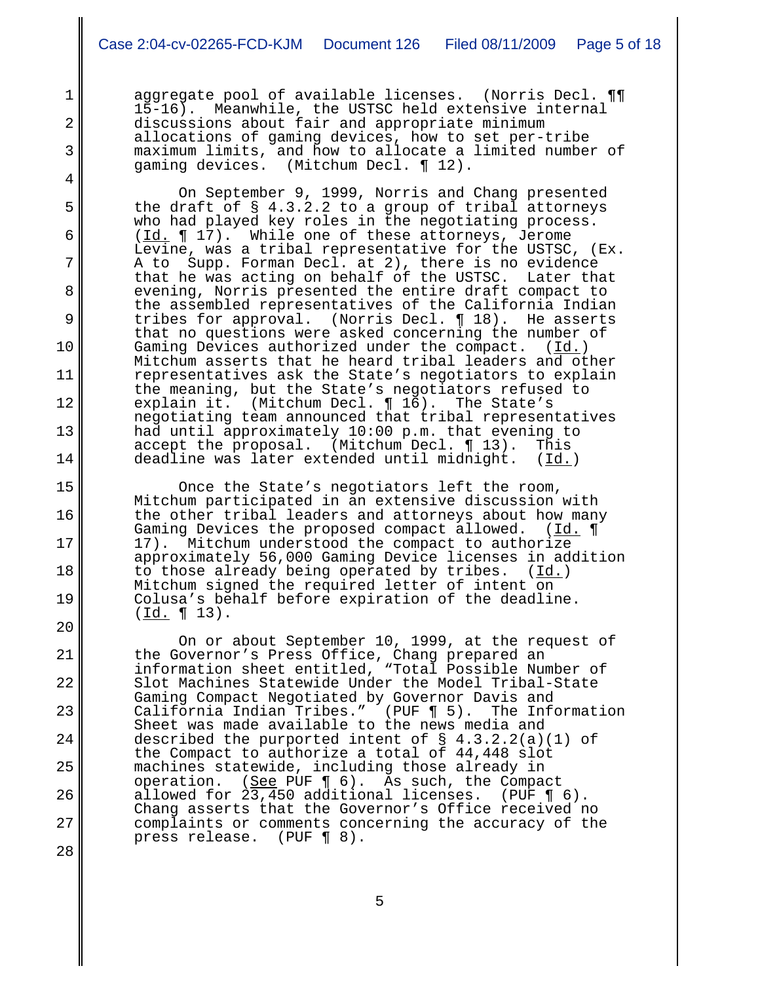aggregate pool of available licenses. (Norris Decl. ¶¶<br>15-16). Meanwhile, the USTSC held extensive internal Meanwhile, the USTSC held extensive internal discussions about fair and appropriate minimum allocations of gaming devices, how to set per-tribe maximum limits, and how to allocate a limited number of gaming devices. (Mitchum Decl. ¶ 12).

1

2

3

4

5

6

7

8

9

10

11

12

13

14

15

16

17

18

19

20

21

22

23

24

25

26

27

28

 On September 9, 1999, Norris and Chang presented the draft of § 4.3.2.2 to a group of tribal attorneys who had played key roles in the negotiating process. (Id. ¶ 17). While one of these attorneys, Jerome Levine, was a tribal representative for the USTSC, (Ex. A to Supp. Forman Decl. at 2), there is no evidence that he was acting on behalf of the USTSC. evening, Norris presented the entire draft compact to the assembled representatives of the California Indian<br>tribes for approval. (Norris Decl. 1918). He asserts (Norris Decl.  $\P$  18). He asserts that no questions were asked concerning the number of Gaming Devices authorized under the compact. (Id.) Gaming Devices authorized under the compact. Mitchum asserts that he heard tribal leaders and other representatives ask the State's negotiators to explain the meaning, but the State's negotiators refused to<br>explain it. (Mitchum Decl. ¶ 16). The State's (Mitchum Decl.  $\P$  16). The State's negotiating team announced that tribal representatives had until approximately  $10:00$  p.m. that evening to accept the proposal. (Mitchum Decl.  $\P$  13). This (Mitchum Decl.  $\P$  13). This deadline was later extended until midnight. (Id.)

Once the State's negotiators left the room, Mitchum participated in an extensive discussion with the other tribal leaders and attorneys about how many Gaming Devices the proposed compact allowed. (Id. 1 17). Mitchum understood the compact to authorize approximately 56,000 Gaming Device licenses in addition to those already being operated by tribes.  $(Id.)$ Mitchum signed the required letter of intent on Colusa's behalf before expiration of the deadline.<br>( $\underline{Id.}$  ¶ 13).

On or about September 10, 1999, at the request of the Governor's Press Office, Chang prepared an information sheet entitled, "Total Possible Number of Slot Machines Statewide Under the Model Tribal-State Gaming Compact Negotiated by Governor Davis and<br>California Indian Tribes." (PUF ¶ 5). The Information California Indian Tribes." (PUF  $\P$  5). Sheet was made available to the news media and described the purported intent of § 4.3.2.2(a)(1) of the Compact to authorize a total of 44,448 slot machines statewide, including those already in operation. (See PUF  $\P$  6). As such, the Compact allowed for 23,450 additional licenses. (PUF ¶ 6). Chang asserts that the Governor's Office received no complaints or comments concerning the accuracy of the press release. (PUF ¶ 8).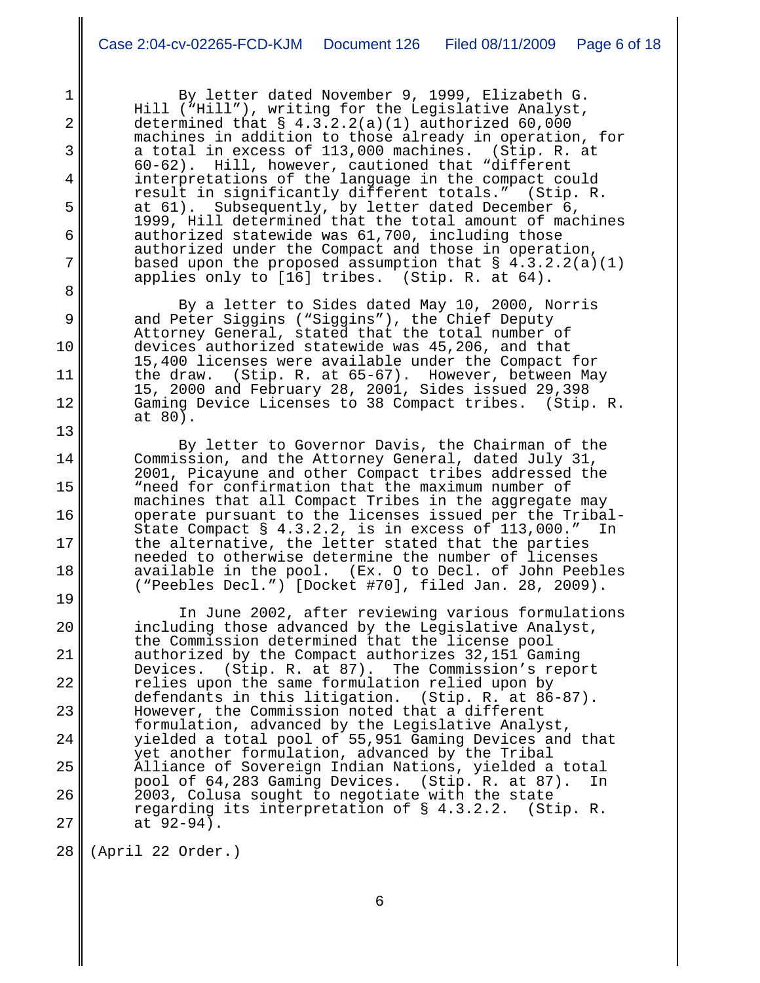By letter dated November 9, 1999, Elizabeth G. Hill ("Hill"), writing for the Legislative Analyst, determined that  $\S$  4.3.2.2(a)(1) authorized 60,000 machines in addition to those already in operation, for<br>a total in excess of 113,000 machines. (Stip. R. at a total in excess of  $113,000$  machines. 60-62). Hill, however, cautioned that "different interpretations of the language in the compact could<br>result in significantly different totals." (Stip. R. result in significantly different totals." at 61). Subsequently, by letter dated December 6, 1999, Hill determined that the total amount of machines authorized statewide was 61,700, including those authorized under the Compact and those in operation, based upon the proposed assumption that  $\S$  4.3.2.2(a)(1) applies only to [16] tribes. (Stip. R. at 64).

 By a letter to Sides dated May 10, 2000, Norris and Peter Siggins ("Siggins"), the Chief Deputy Attorney General, stated that the total number of devices authorized statewide was 45,206, and that 15,400 licenses were available under the Compact for the draw. (Stip. R. at 65-67). However, between May 15, 2000 and February 28, 2001, Sides issued 29,398 Gaming Device Licenses to 38 Compact tribes. at 80).

By letter to Governor Davis, the Chairman of the Commission, and the Attorney General, dated July 31, 2001, Picayune and other Compact tribes addressed the "need for confirmation that the maximum number of machines that all Compact Tribes in the aggregate may operate pursuant to the licenses issued per the Tribal-State Compact § 4.3.2.2, is in excess of 113,000." In the alternative, the letter stated that the parties needed to otherwise determine the number of licenses available in the pool. (Ex. O to Decl. of John Peebles ("Peebles Decl.") [Docket #70], filed Jan. 28, 2009).

20 21 22 23 24 25 26 27 In June 2002, after reviewing various formulations including those advanced by the Legislative Analyst, the Commission determined that the license pool authorized by the Compact authorizes 32,151 Gaming The Commission's report relies upon the same formulation relied upon by<br>defendants in this litigation. (Stip. R. at 86-87). defendants in this litigation. However, the Commission noted that a different formulation, advanced by the Legislative Analyst, yielded a total pool of 55,951 Gaming Devices and that yet another formulation, advanced by the Tribal Alliance of Sovereign Indian Nations, yielded a total pool of 64,283 Gaming Devices. (Stip. R. at 87). In 2003, Colusa sought to negotiate with the state regarding its interpretation of § 4.3.2.2. (Stip. R. at 92-94).

28 (April 22 Order.)

1

2

3

4

5

6

7

8

9

10

11

12

13

14

15

16

17

18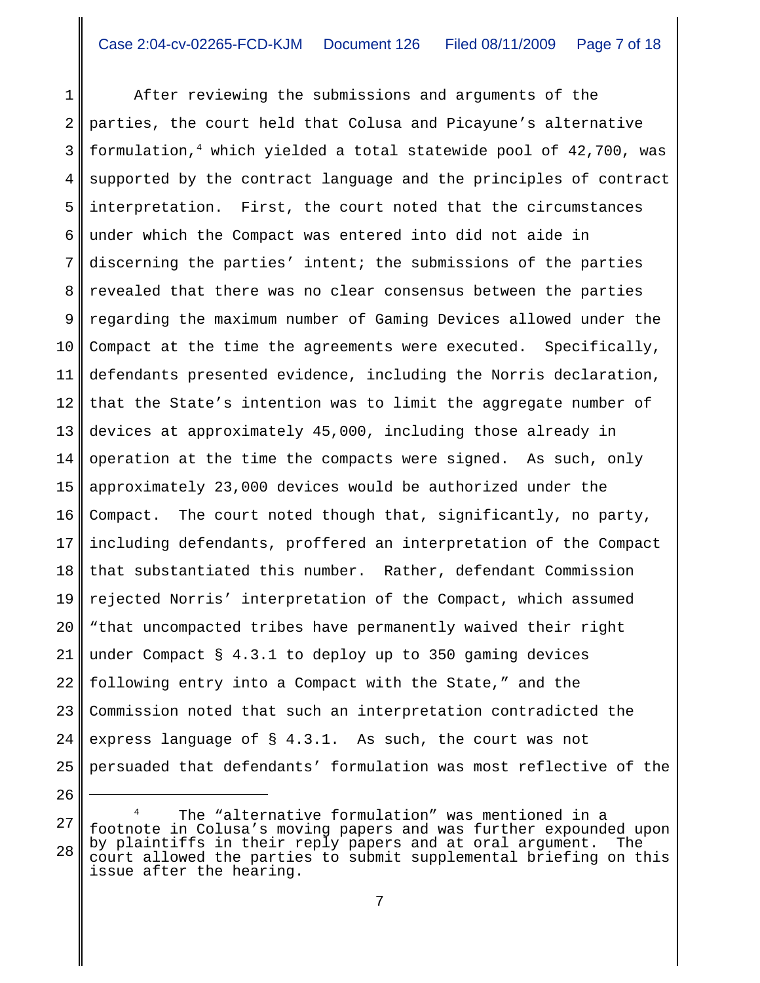1 2 3 4 5 6 7 8 9 10 11 12 13 14 15 16 17 18 19 20 21 22 23 24 25 After reviewing the submissions and arguments of the parties, the court held that Colusa and Picayune's alternative formulation,4 which yielded a total statewide pool of 42,700, was supported by the contract language and the principles of contract interpretation. First, the court noted that the circumstances under which the Compact was entered into did not aide in discerning the parties' intent; the submissions of the parties revealed that there was no clear consensus between the parties regarding the maximum number of Gaming Devices allowed under the Compact at the time the agreements were executed. Specifically, defendants presented evidence, including the Norris declaration, that the State's intention was to limit the aggregate number of devices at approximately 45,000, including those already in operation at the time the compacts were signed. As such, only approximately 23,000 devices would be authorized under the Compact. The court noted though that, significantly, no party, including defendants, proffered an interpretation of the Compact that substantiated this number. Rather, defendant Commission rejected Norris' interpretation of the Compact, which assumed "that uncompacted tribes have permanently waived their right under Compact § 4.3.1 to deploy up to 350 gaming devices following entry into a Compact with the State," and the Commission noted that such an interpretation contradicted the express language of § 4.3.1. As such, the court was not persuaded that defendants' formulation was most reflective of the

<sup>26</sup>

<sup>27</sup> 28 The "alternative formulation" was mentioned in a footnote in Colusa's moving papers and was further expounded upon by plaintiffs in their reply papers and at oral argument. The court allowed the parties to submit supplemental briefing on this issue after the hearing.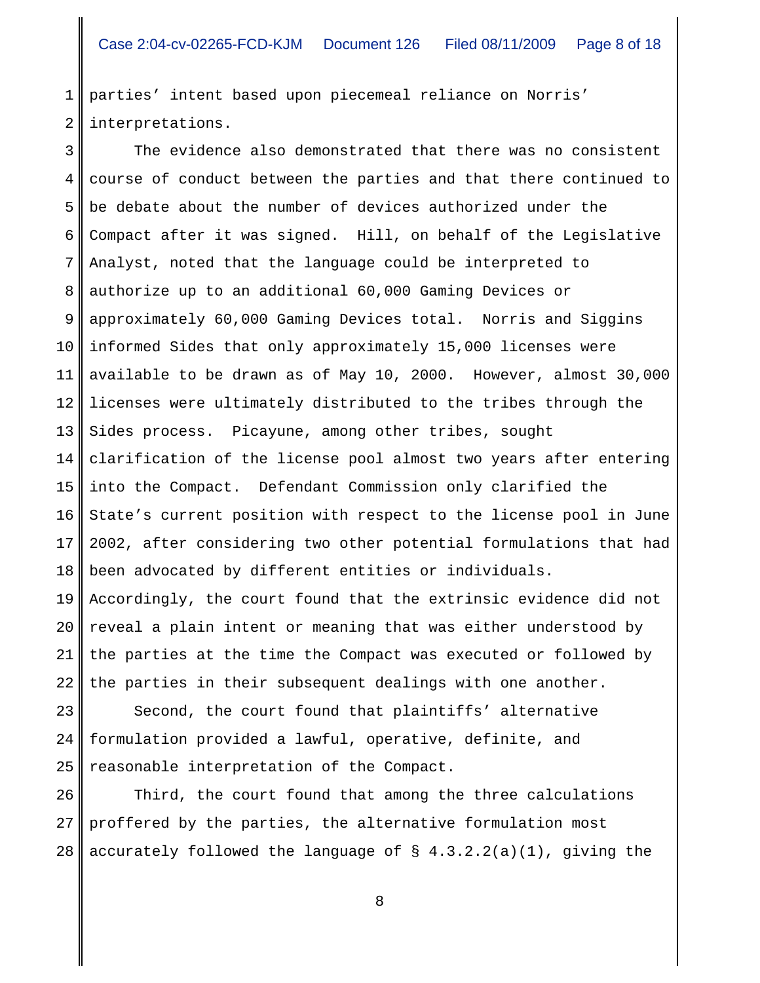1 2 parties' intent based upon piecemeal reliance on Norris' interpretations.

3 4 5 6 7 8 9 10 11 12 13 14 15 16 17 18 19 20 21 22 The evidence also demonstrated that there was no consistent course of conduct between the parties and that there continued to be debate about the number of devices authorized under the Compact after it was signed. Hill, on behalf of the Legislative Analyst, noted that the language could be interpreted to authorize up to an additional 60,000 Gaming Devices or approximately 60,000 Gaming Devices total. Norris and Siggins informed Sides that only approximately 15,000 licenses were available to be drawn as of May 10, 2000. However, almost 30,000 licenses were ultimately distributed to the tribes through the Sides process. Picayune, among other tribes, sought clarification of the license pool almost two years after entering into the Compact. Defendant Commission only clarified the State's current position with respect to the license pool in June 2002, after considering two other potential formulations that had been advocated by different entities or individuals. Accordingly, the court found that the extrinsic evidence did not reveal a plain intent or meaning that was either understood by the parties at the time the Compact was executed or followed by the parties in their subsequent dealings with one another.

23 24 25 Second, the court found that plaintiffs' alternative formulation provided a lawful, operative, definite, and reasonable interpretation of the Compact.

26 27 28 Third, the court found that among the three calculations proffered by the parties, the alternative formulation most accurately followed the language of  $\S$  4.3.2.2(a)(1), giving the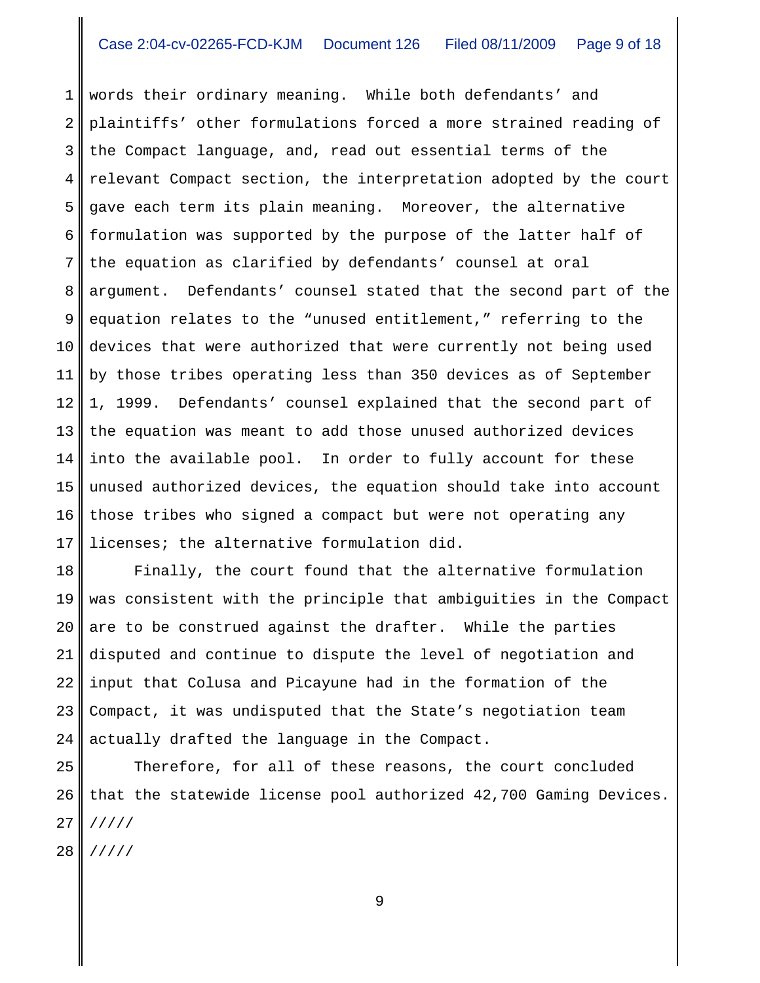1 2 3 4 5 6 7 8 9 10 11 12 13 14 15 16 17 words their ordinary meaning. While both defendants' and plaintiffs' other formulations forced a more strained reading of the Compact language, and, read out essential terms of the relevant Compact section, the interpretation adopted by the court gave each term its plain meaning. Moreover, the alternative formulation was supported by the purpose of the latter half of the equation as clarified by defendants' counsel at oral argument. Defendants' counsel stated that the second part of the equation relates to the "unused entitlement," referring to the devices that were authorized that were currently not being used by those tribes operating less than 350 devices as of September 1, 1999. Defendants' counsel explained that the second part of the equation was meant to add those unused authorized devices into the available pool. In order to fully account for these unused authorized devices, the equation should take into account those tribes who signed a compact but were not operating any licenses; the alternative formulation did.

18 19 20 21 22 23 24 Finally, the court found that the alternative formulation was consistent with the principle that ambiguities in the Compact are to be construed against the drafter. While the parties disputed and continue to dispute the level of negotiation and input that Colusa and Picayune had in the formation of the Compact, it was undisputed that the State's negotiation team actually drafted the language in the Compact.

25 26 27 28 Therefore, for all of these reasons, the court concluded that the statewide license pool authorized 42,700 Gaming Devices. ///// /////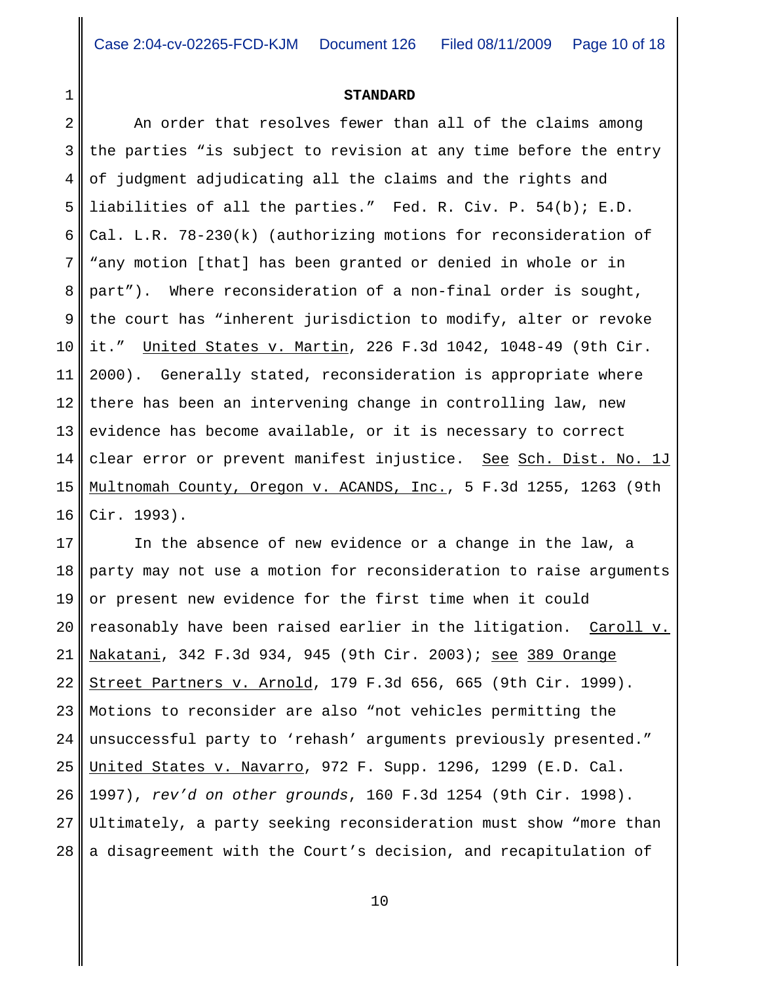### **STANDARD**

2 3 4 5 6 7 8 9 10 11 12 13 14 15 16 An order that resolves fewer than all of the claims among the parties "is subject to revision at any time before the entry of judgment adjudicating all the claims and the rights and liabilities of all the parties." Fed. R. Civ. P. 54(b); E.D. Cal. L.R. 78-230(k) (authorizing motions for reconsideration of "any motion [that] has been granted or denied in whole or in part"). Where reconsideration of a non-final order is sought, the court has "inherent jurisdiction to modify, alter or revoke it." United States v. Martin, 226 F.3d 1042, 1048-49 (9th Cir. 2000). Generally stated, reconsideration is appropriate where there has been an intervening change in controlling law, new evidence has become available, or it is necessary to correct clear error or prevent manifest injustice. See Sch. Dist. No. 1J Multnomah County, Oregon v. ACANDS, Inc., 5 F.3d 1255, 1263 (9th Cir. 1993).

17 18 19 20 21 22 23 24 25 26 27 28 In the absence of new evidence or a change in the law, a party may not use a motion for reconsideration to raise arguments or present new evidence for the first time when it could reasonably have been raised earlier in the litigation. Caroll v. Nakatani, 342 F.3d 934, 945 (9th Cir. 2003); see 389 Orange Street Partners v. Arnold, 179 F.3d 656, 665 (9th Cir. 1999). Motions to reconsider are also "not vehicles permitting the unsuccessful party to 'rehash' arguments previously presented." United States v. Navarro, 972 F. Supp. 1296, 1299 (E.D. Cal. 1997), *rev'd on other grounds*, 160 F.3d 1254 (9th Cir. 1998). Ultimately, a party seeking reconsideration must show "more than a disagreement with the Court's decision, and recapitulation of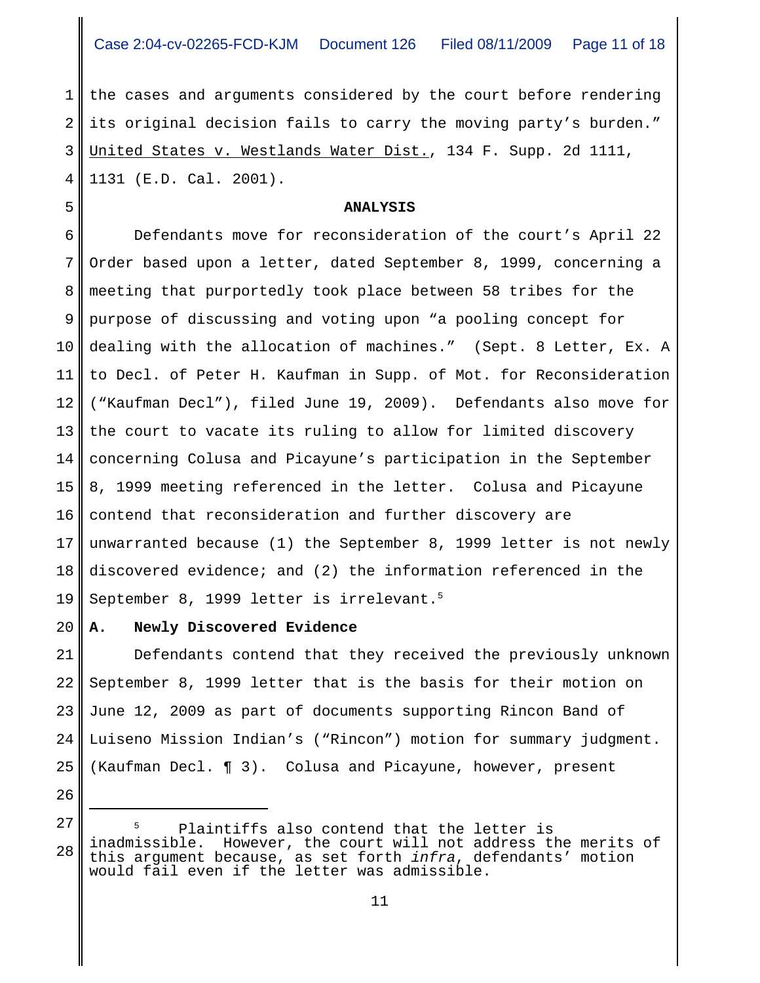1 2 3 4 the cases and arguments considered by the court before rendering its original decision fails to carry the moving party's burden." United States v. Westlands Water Dist., 134 F. Supp. 2d 1111, 1131 (E.D. Cal. 2001).

# **ANALYSIS**

6 7 8 9 10 11 12 13 14 15 16 17 18 19 Defendants move for reconsideration of the court's April 22 Order based upon a letter, dated September 8, 1999, concerning a meeting that purportedly took place between 58 tribes for the purpose of discussing and voting upon "a pooling concept for dealing with the allocation of machines." (Sept. 8 Letter, Ex. A to Decl. of Peter H. Kaufman in Supp. of Mot. for Reconsideration ("Kaufman Decl"), filed June 19, 2009). Defendants also move for the court to vacate its ruling to allow for limited discovery concerning Colusa and Picayune's participation in the September 8, 1999 meeting referenced in the letter. Colusa and Picayune contend that reconsideration and further discovery are unwarranted because (1) the September 8, 1999 letter is not newly discovered evidence; and (2) the information referenced in the September 8, 1999 letter is irrelevant.<sup>5</sup>

#### 20 **A. Newly Discovered Evidence**

5

26

21 22 23 24 25 Defendants contend that they received the previously unknown September 8, 1999 letter that is the basis for their motion on June 12, 2009 as part of documents supporting Rincon Band of Luiseno Mission Indian's ("Rincon") motion for summary judgment. (Kaufman Decl. ¶ 3). Colusa and Picayune, however, present

<sup>27</sup> 28 Plaintiffs also contend that the letter is inadmissible. However, the court will not address the merits of this argument because, as set forth *infra*, defendants' motion would fail even if the letter was admissible.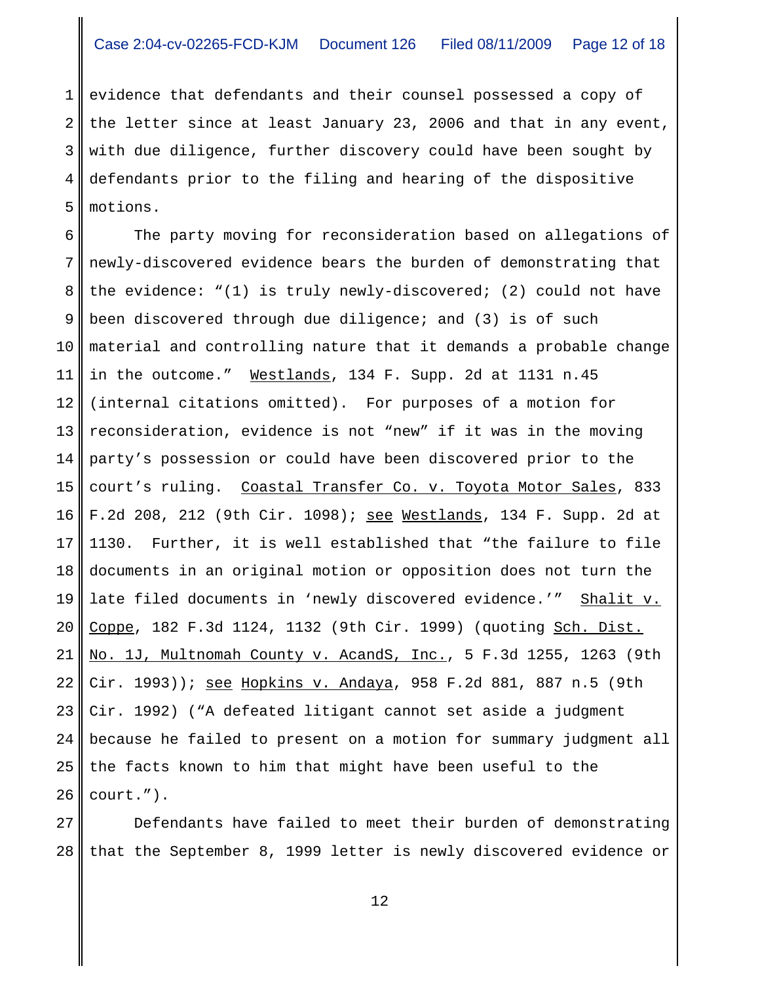1 2 3 4 5 evidence that defendants and their counsel possessed a copy of the letter since at least January 23, 2006 and that in any event, with due diligence, further discovery could have been sought by defendants prior to the filing and hearing of the dispositive motions.

6 7 8 9 10 11 12 13 14 15 16 17 18 19 20 21 22 23 24 25 26 The party moving for reconsideration based on allegations of newly-discovered evidence bears the burden of demonstrating that the evidence: "(1) is truly newly-discovered; (2) could not have been discovered through due diligence; and (3) is of such material and controlling nature that it demands a probable change in the outcome." Westlands, 134 F. Supp. 2d at 1131 n.45 (internal citations omitted). For purposes of a motion for reconsideration, evidence is not "new" if it was in the moving party's possession or could have been discovered prior to the court's ruling. Coastal Transfer Co. v. Toyota Motor Sales, 833 F.2d 208, 212 (9th Cir. 1098); see Westlands, 134 F. Supp. 2d at 1130. Further, it is well established that "the failure to file documents in an original motion or opposition does not turn the late filed documents in 'newly discovered evidence.'" Shalit v. Coppe, 182 F.3d 1124, 1132 (9th Cir. 1999) (quoting Sch. Dist. No. 1J, Multnomah County v. AcandS, Inc., 5 F.3d 1255, 1263 (9th Cir. 1993)); see Hopkins v. Andaya, 958 F.2d 881, 887 n.5 (9th Cir. 1992) ("A defeated litigant cannot set aside a judgment because he failed to present on a motion for summary judgment all the facts known to him that might have been useful to the court.").

27 28 Defendants have failed to meet their burden of demonstrating that the September 8, 1999 letter is newly discovered evidence or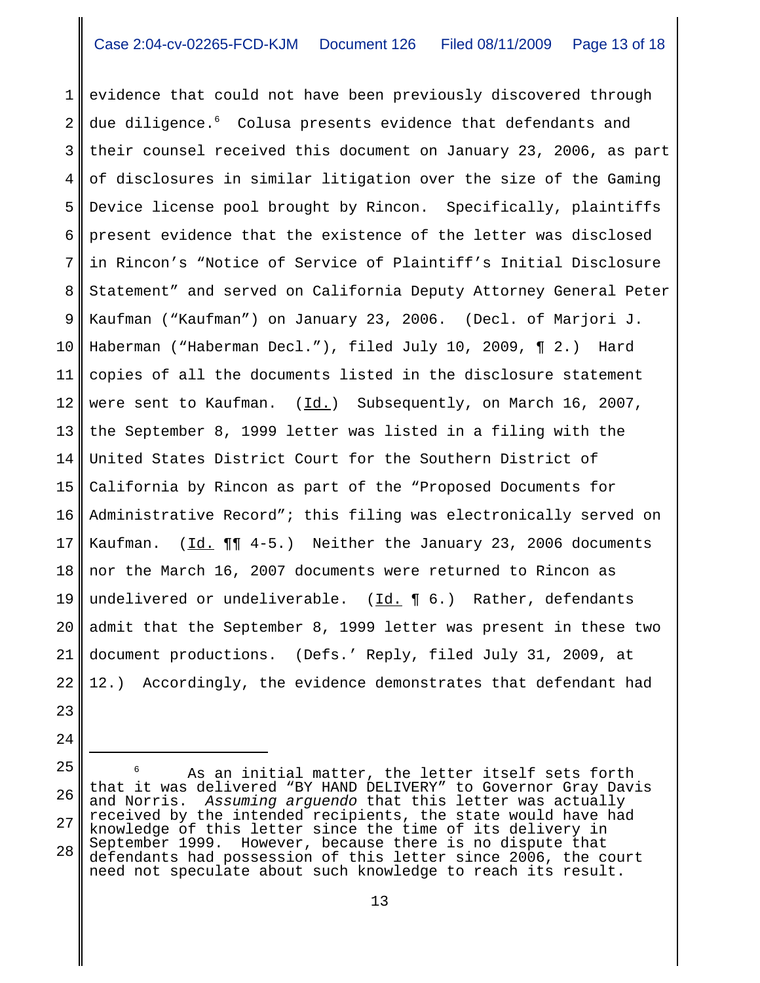1 2 3 4 5 6 7 8 9 10 11 12 13 14 15 16 17 18 19 20 21 22 evidence that could not have been previously discovered through due diligence.<sup>6</sup> Colusa presents evidence that defendants and their counsel received this document on January 23, 2006, as part of disclosures in similar litigation over the size of the Gaming Device license pool brought by Rincon. Specifically, plaintiffs present evidence that the existence of the letter was disclosed in Rincon's "Notice of Service of Plaintiff's Initial Disclosure Statement" and served on California Deputy Attorney General Peter Kaufman ("Kaufman") on January 23, 2006. (Decl. of Marjori J. Haberman ("Haberman Decl."), filed July 10, 2009, ¶ 2.) Hard copies of all the documents listed in the disclosure statement were sent to Kaufman.  $(Id.)$  Subsequently, on March 16, 2007, the September 8, 1999 letter was listed in a filing with the United States District Court for the Southern District of California by Rincon as part of the "Proposed Documents for Administrative Record"; this filing was electronically served on Kaufman.  $(\underline{Id.} \P \P \ 4-5.)$  Neither the January 23, 2006 documents nor the March 16, 2007 documents were returned to Rincon as undelivered or undeliverable.  $(\underline{Id.} \P 6.)$  Rather, defendants admit that the September 8, 1999 letter was present in these two document productions. (Defs.' Reply, filed July 31, 2009, at 12.) Accordingly, the evidence demonstrates that defendant had

- 23
- 24

<sup>25</sup> 26 27 28 As an initial matter, the letter itself sets forth that it was delivered "BY HAND DELIVERY" to Governor Gray Davis and Norris. *Assuming arguendo* that this letter was actually received by the intended recipients, the state would have had knowledge of this letter since the time of its delivery in September 1999. However, because there is no dispute that defendants had possession of this letter since 2006, the court need not speculate about such knowledge to reach its result.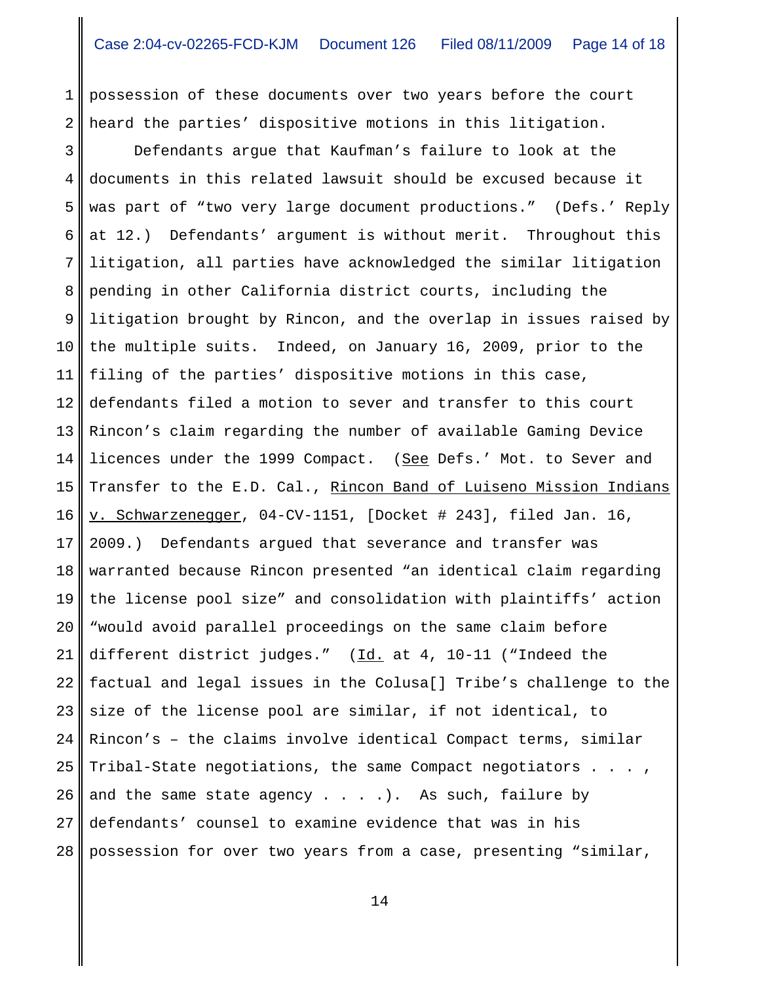1 2 possession of these documents over two years before the court heard the parties' dispositive motions in this litigation.

3 4 5 6 7 8 9 10 11 12 13 14 15 16 17 18 19 20 21 22 23 24 25 26 27 28 Defendants argue that Kaufman's failure to look at the documents in this related lawsuit should be excused because it was part of "two very large document productions." (Defs.' Reply at 12.) Defendants' argument is without merit. Throughout this litigation, all parties have acknowledged the similar litigation pending in other California district courts, including the litigation brought by Rincon, and the overlap in issues raised by the multiple suits. Indeed, on January 16, 2009, prior to the filing of the parties' dispositive motions in this case, defendants filed a motion to sever and transfer to this court Rincon's claim regarding the number of available Gaming Device licences under the 1999 Compact. (See Defs.' Mot. to Sever and Transfer to the E.D. Cal., Rincon Band of Luiseno Mission Indians v. Schwarzenegger, 04-CV-1151, [Docket # 243], filed Jan. 16, 2009.) Defendants argued that severance and transfer was warranted because Rincon presented "an identical claim regarding the license pool size" and consolidation with plaintiffs' action "would avoid parallel proceedings on the same claim before different district judges."  $(Id. at 4, 10-11$  ("Indeed the factual and legal issues in the Colusa[] Tribe's challenge to the size of the license pool are similar, if not identical, to Rincon's – the claims involve identical Compact terms, similar Tribal-State negotiations, the same Compact negotiators . . . , and the same state agency  $\dots$ . ... As such, failure by defendants' counsel to examine evidence that was in his possession for over two years from a case, presenting "similar,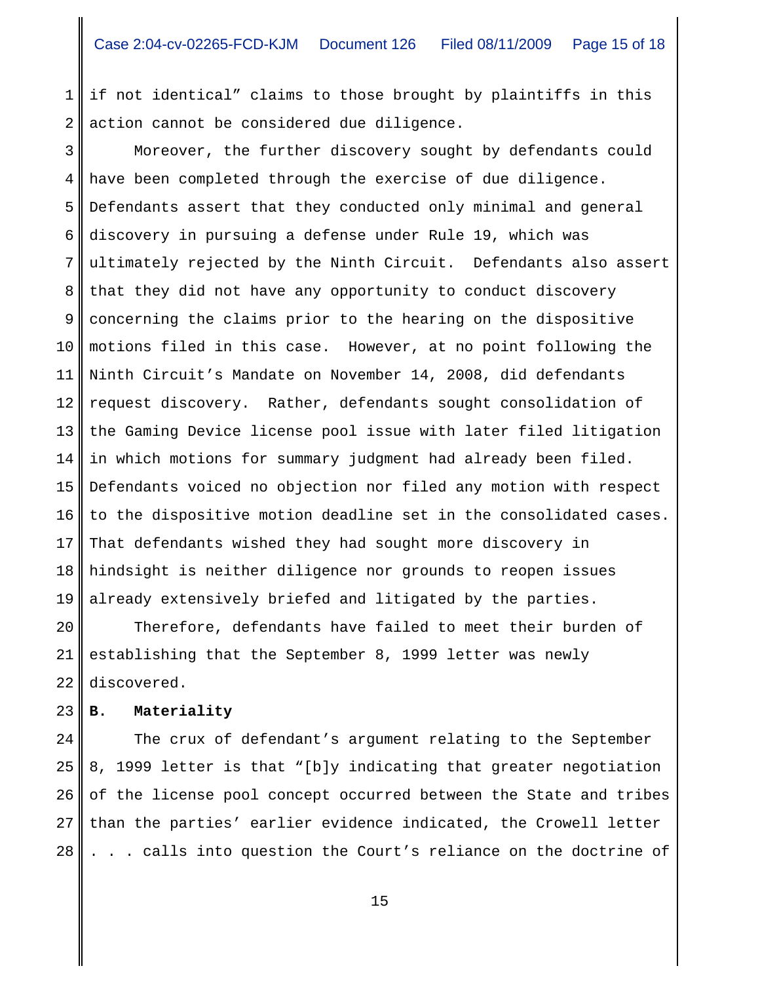1 2 if not identical" claims to those brought by plaintiffs in this action cannot be considered due diligence.

3 4 5 6 7 8 9 10 11 12 13 14 15 16 17 18 19 Moreover, the further discovery sought by defendants could have been completed through the exercise of due diligence. Defendants assert that they conducted only minimal and general discovery in pursuing a defense under Rule 19, which was ultimately rejected by the Ninth Circuit. Defendants also assert that they did not have any opportunity to conduct discovery concerning the claims prior to the hearing on the dispositive motions filed in this case. However, at no point following the Ninth Circuit's Mandate on November 14, 2008, did defendants request discovery. Rather, defendants sought consolidation of the Gaming Device license pool issue with later filed litigation in which motions for summary judgment had already been filed. Defendants voiced no objection nor filed any motion with respect to the dispositive motion deadline set in the consolidated cases. That defendants wished they had sought more discovery in hindsight is neither diligence nor grounds to reopen issues already extensively briefed and litigated by the parties.

20 21 22 Therefore, defendants have failed to meet their burden of establishing that the September 8, 1999 letter was newly discovered.

### 23 **B. Materiality**

24 25 26 27 28 The crux of defendant's argument relating to the September 8, 1999 letter is that "[b]y indicating that greater negotiation of the license pool concept occurred between the State and tribes than the parties' earlier evidence indicated, the Crowell letter . . . calls into question the Court's reliance on the doctrine of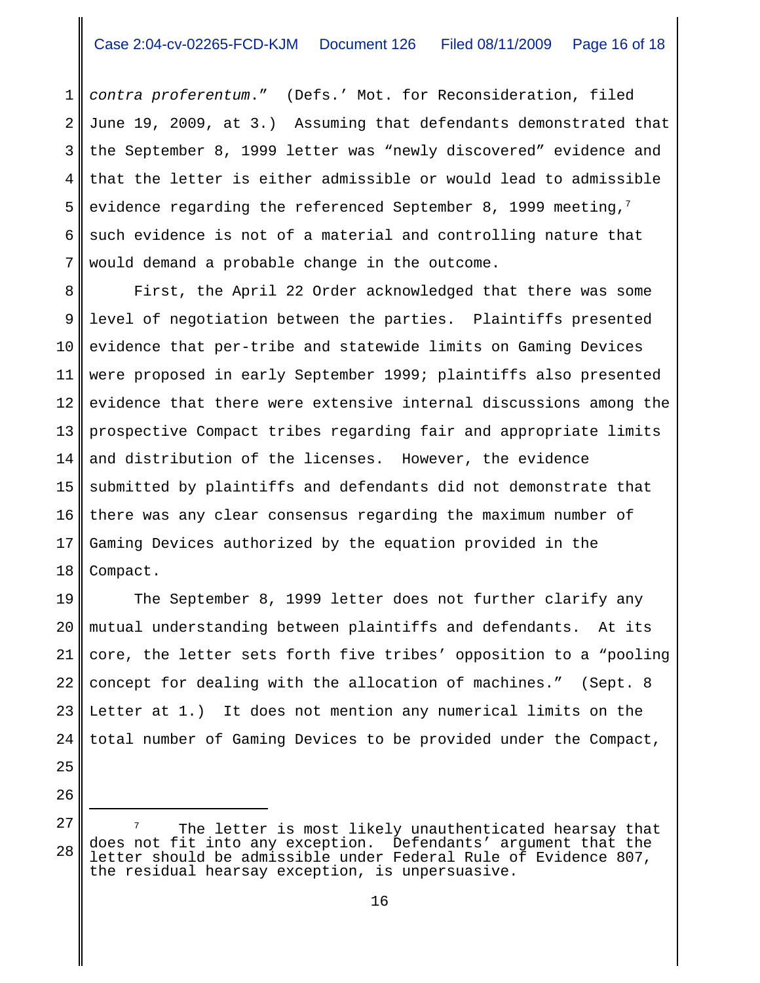1 2 3 4 5 6 7 *contra proferentum*." (Defs.' Mot. for Reconsideration, filed June 19, 2009, at 3.) Assuming that defendants demonstrated that the September 8, 1999 letter was "newly discovered" evidence and that the letter is either admissible or would lead to admissible evidence regarding the referenced September 8, 1999 meeting, $^7$ such evidence is not of a material and controlling nature that would demand a probable change in the outcome.

8 9 10 11 12 13 14 15 16 17 18 First, the April 22 Order acknowledged that there was some level of negotiation between the parties. Plaintiffs presented evidence that per-tribe and statewide limits on Gaming Devices were proposed in early September 1999; plaintiffs also presented evidence that there were extensive internal discussions among the prospective Compact tribes regarding fair and appropriate limits and distribution of the licenses. However, the evidence submitted by plaintiffs and defendants did not demonstrate that there was any clear consensus regarding the maximum number of Gaming Devices authorized by the equation provided in the Compact.

19 20 21 22 23 24 The September 8, 1999 letter does not further clarify any mutual understanding between plaintiffs and defendants. At its core, the letter sets forth five tribes' opposition to a "pooling concept for dealing with the allocation of machines." (Sept. 8 Letter at 1.) It does not mention any numerical limits on the total number of Gaming Devices to be provided under the Compact,

27 28 The letter is most likely unauthenticated hearsay that does not fit into any exception. Defendants' argument that the letter should be admissible under Federal Rule of Evidence 807, the residual hearsay exception, is unpersuasive.

25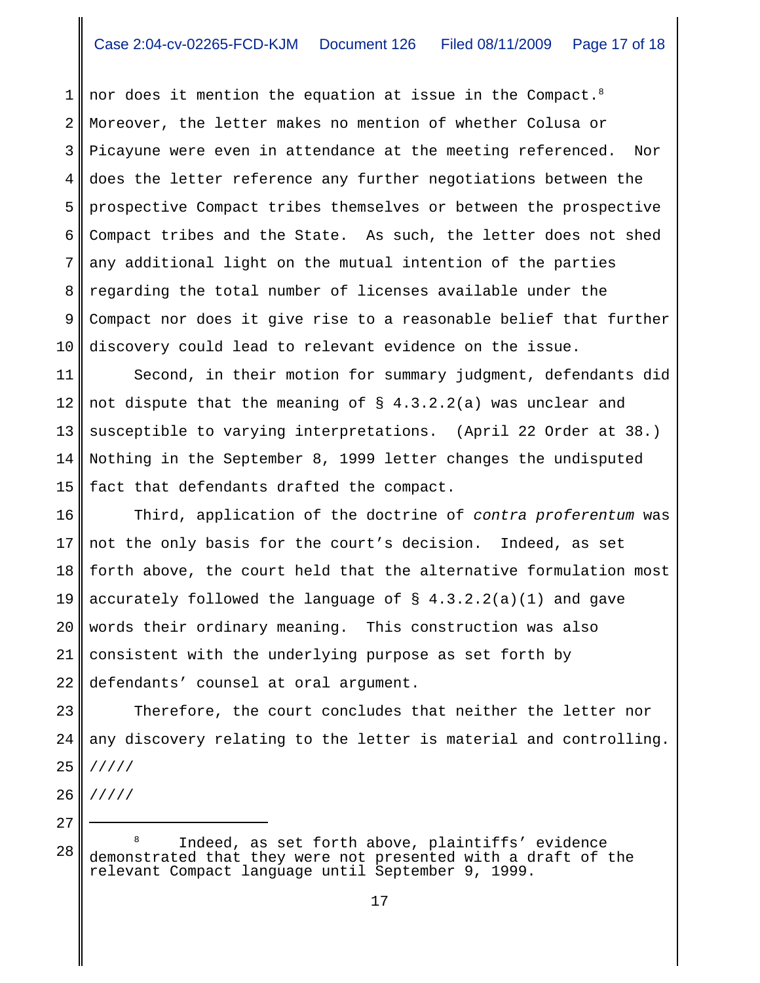1 2 3 4 5 6 7 8 9 10 nor does it mention the equation at issue in the Compact.<sup>8</sup> Moreover, the letter makes no mention of whether Colusa or Picayune were even in attendance at the meeting referenced. Nor does the letter reference any further negotiations between the prospective Compact tribes themselves or between the prospective Compact tribes and the State. As such, the letter does not shed any additional light on the mutual intention of the parties regarding the total number of licenses available under the Compact nor does it give rise to a reasonable belief that further discovery could lead to relevant evidence on the issue.

11 12 13 14 15 Second, in their motion for summary judgment, defendants did not dispute that the meaning of  $\S$  4.3.2.2(a) was unclear and susceptible to varying interpretations. (April 22 Order at 38.) Nothing in the September 8, 1999 letter changes the undisputed fact that defendants drafted the compact.

16 17 18 19 20 21 22 Third, application of the doctrine of *contra proferentum* was not the only basis for the court's decision. Indeed, as set forth above, the court held that the alternative formulation most accurately followed the language of  $\S$  4.3.2.2(a)(1) and gave words their ordinary meaning. This construction was also consistent with the underlying purpose as set forth by defendants' counsel at oral argument.

23 24 25 Therefore, the court concludes that neither the letter nor any discovery relating to the letter is material and controlling. /////

26 /////

<sup>28</sup> Indeed, as set forth above, plaintiffs' evidence demonstrated that they were not presented with a draft of the relevant Compact language until September 9, 1999.